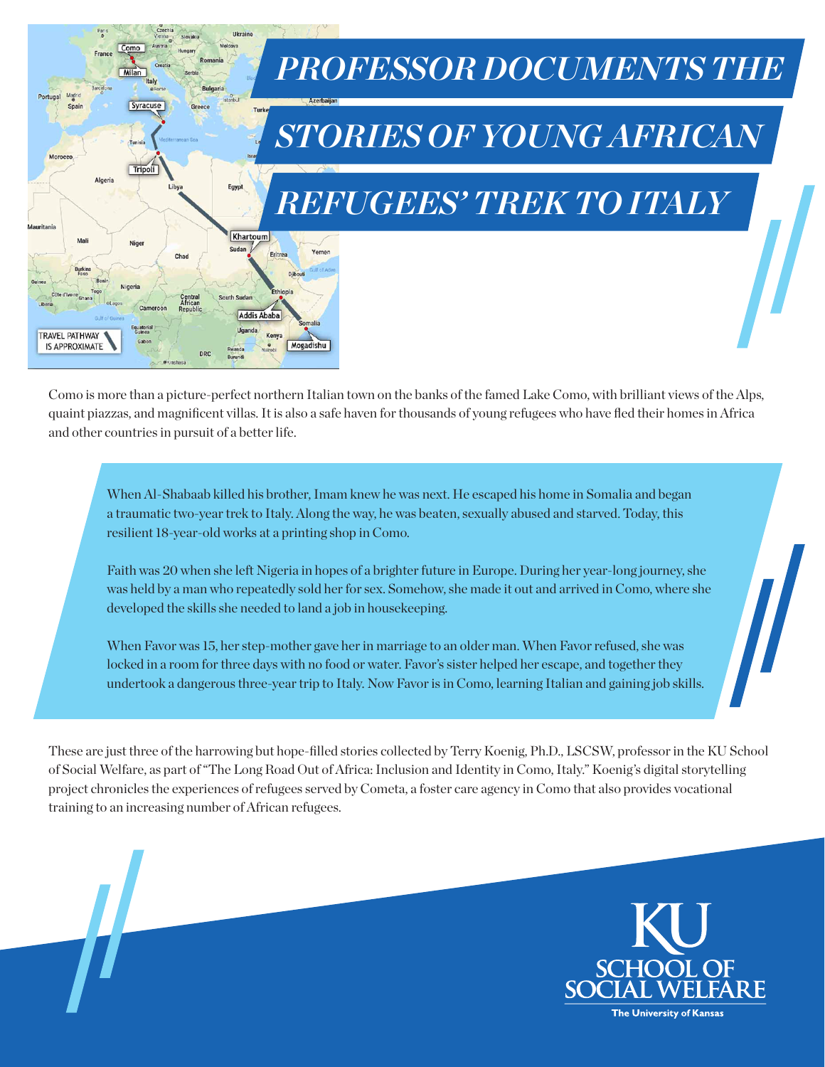

Como is more than a picture-perfect northern Italian town on the banks of the famed Lake Como, with brilliant views of the Alps, quaint piazzas, and magnificent villas. It is also a safe haven for thousands of young refugees who have fled their homes in Africa and other countries in pursuit of a better life.

When Al-Shabaab killed his brother, Imam knew he was next. He escaped his home in Somalia and began a traumatic two-year trek to Italy. Along the way, he was beaten, sexually abused and starved. Today, this resilient 18-year-old works at a printing shop in Como.

Faith was 20 when she left Nigeria in hopes of a brighter future in Europe. During her year-long journey, she was held by a man who repeatedly sold her for sex. Somehow, she made it out and arrived in Como, where she developed the skills she needed to land a job in housekeeping.

When Favor was 15, her step-mother gave her in marriage to an older man. When Favor refused, she was locked in a room for three days with no food or water. Favor's sister helped her escape, and together they undertook a dangerous three-year trip to Italy. Now Favor is in Como, learning Italian and gaining job skills.

These are just three of the harrowing but hope-filled stories collected by Terry Koenig, Ph.D., LSCSW, professor in the KU School of Social Welfare, as part of "The Long Road Out of Africa: Inclusion and Identity in Como, Italy." Koenig's digital storytelling project chronicles the experiences of refugees served by Cometa, a foster care agency in Como that also provides vocational training to an increasing number of African refugees.

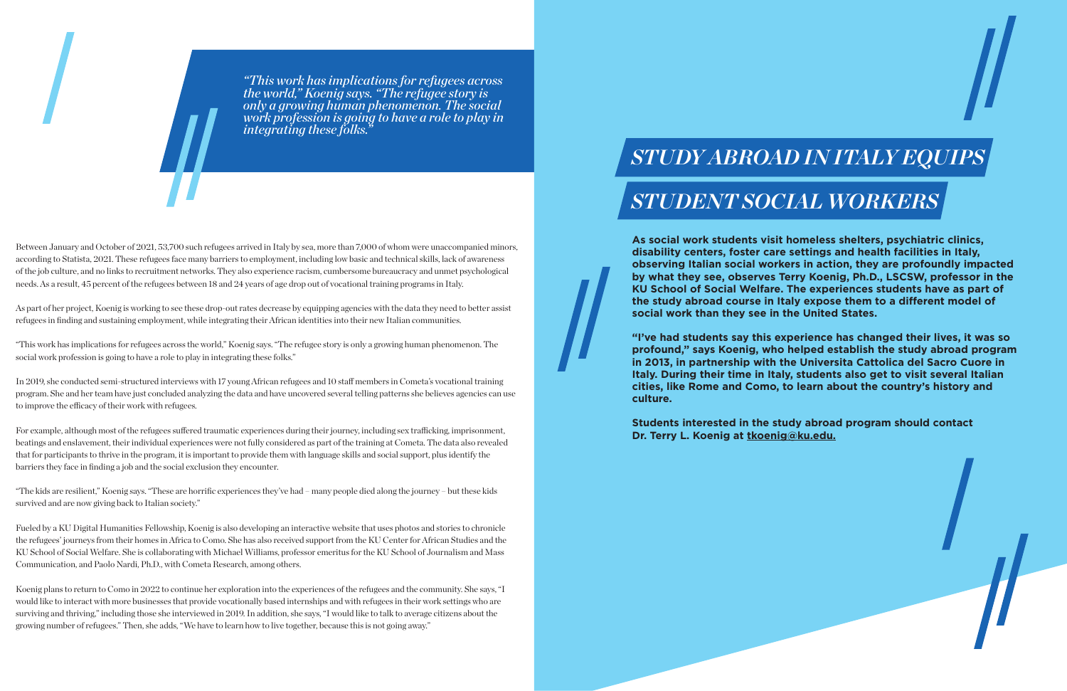**As social work students visit homeless shelters, psychiatric clinics, disability centers, foster care settings and health facilities in Italy, observing Italian social workers in action, they are profoundly impacted by what they see, observes Terry Koenig, Ph.D., LSCSW, professor in the KU School of Social Welfare. The experiences students have as part of the study abroad course in Italy expose them to a different model of social work than they see in the United States.**

**"I've had students say this experience has changed their lives, it was so profound," says Koenig, who helped establish the study abroad program in 2013, in partnership with the Universita Cattolica del Sacro Cuore in Italy. During their time in Italy, students also get to visit several Italian cities, like Rome and Como, to learn about the country's history and culture.** 

**Students interested in the study abroad program should contact Dr. Terry L. Koenig at [tkoenig@ku.edu](mailto:tkoenig%40ku.edu?subject=).**

## *STUDY ABROAD IN ITALY EQUIPS STUDENT SOCIAL WORKERS*

*"This work has implications for refugees across the world," Koenig says. "The refugee story is only a growing human phenomenon. The social work profession is going to have a role to play in integrating these folks."*

Between January and October of 2021, 53,700 such refugees arrived in Italy by sea, more than 7,000 of whom were unaccompanied minors, according to Statista, 2021. These refugees face many barriers to employment, including low basic and technical skills, lack of awareness of the job culture, and no links to recruitment networks. They also experience racism, cumbersome bureaucracy and unmet psychological needs. As a result, 45 percent of the refugees between 18 and 24 years of age drop out of vocational training programs in Italy.

As part of her project, Koenig is working to see these drop-out rates decrease by equipping agencies with the data they need to better assist refugees in finding and sustaining employment, while integrating their African identities into their new Italian communities.

"This work has implications for refugees across the world," Koenig says. "The refugee story is only a growing human phenomenon. The social work profession is going to have a role to play in integrating these folks."

In 2019, she conducted semi-structured interviews with 17 young African refugees and 10 staff members in Cometa's vocational training program. She and her team have just concluded analyzing the data and have uncovered several telling patterns she believes agencies can use to improve the efficacy of their work with refugees.

For example, although most of the refugees suffered traumatic experiences during their journey, including sex trafficking, imprisonment, beatings and enslavement, their individual experiences were not fully considered as part of the training at Cometa. The data also revealed that for participants to thrive in the program, it is important to provide them with language skills and social support, plus identify the barriers they face in finding a job and the social exclusion they encounter.

"The kids are resilient," Koenig says. "These are horrific experiences they've had – many people died along the journey – but these kids survived and are now giving back to Italian society."

Fueled by a KU Digital Humanities Fellowship, Koenig is also developing an interactive website that uses photos and stories to chronicle the refugees' journeys from their homes in Africa to Como. She has also received support from the KU Center for African Studies and the KU School of Social Welfare. She is collaborating with Michael Williams, professor emeritus for the KU School of Journalism and Mass Communication, and Paolo Nardi, Ph.D., with Cometa Research, among others.

Koenig plans to return to Como in 2022 to continue her exploration into the experiences of the refugees and the community. She says, "I would like to interact with more businesses that provide vocationally based internships and with refugees in their work settings who are surviving and thriving," including those she interviewed in 2019. In addition, she says, "I would like to talk to average citizens about the growing number of refugees." Then, she adds, "We have to learn how to live together, because this is not going away."